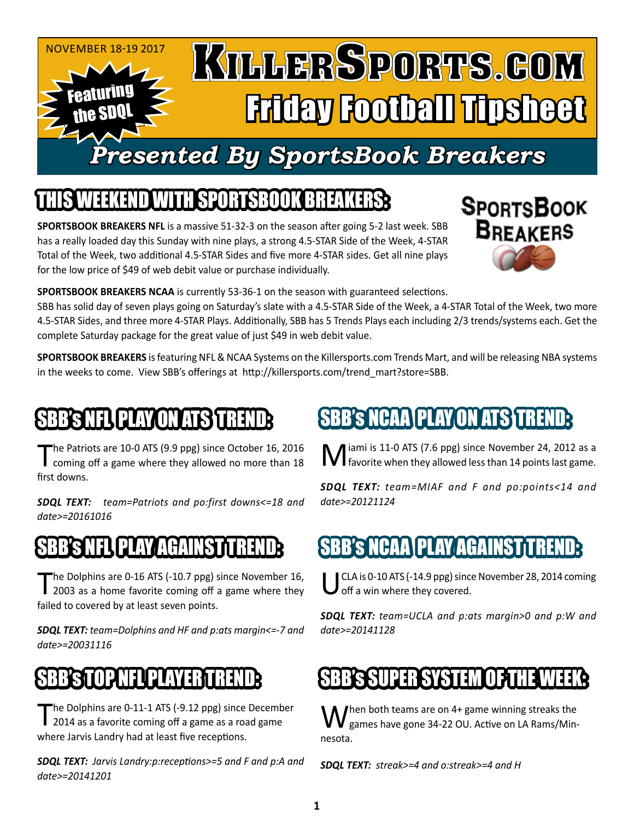

# WITH SPORTSBOOK BREA

**SPORTSBOOK BREAKERS NFL** is a massive 51-32-3 on the season after going 5-2 last week. SBB has a really loaded day this Sunday with nine plays, a strong 4.5-STAR Side of the Week, 4-STAR Total of the Week, two additional 4.5-STAR Sides and five more 4-STAR sides. Get all nine plays for the low price of \$49 of web debit value or purchase individually.



**SPORTSBOOK BREAKERS NCAA** is currently 53-36-1 on the season with guaranteed selections.

SBB has solid day of seven plays going on Saturday's slate with a 4.5-STAR Side of the Week, a 4-STAR Total of the Week, two more 4.5-STAR Sides, and three more 4-STAR Plays. Additionally, SBB has 5 Trends Plays each including 2/3 trends/systems each. Get the complete Saturday package for the great value of just \$49 in web debit value.

**SPORTSBOOK BREAKERS** is featuring NFL & NCAA Systems on the Killersports.com Trends Mart, and will be releasing NBA systems in the weeks to come. View SBB's offerings at http://killersports.com/trend\_mart?store=SBB.

## BB's NFL PLAY ON ATS TREN

The Patriots are 10-0 ATS (9.9 ppg) since October 16, 2016<br>coming off a game where they allowed no more than 18 first downs.

*SDQL TEXT: team=Patriots and po:first downs<=18 and date>=20161016*

## B'S NFL PLAY AGAINST

The Dolphins are 0-16 ATS (-10.7 ppg) since November 16, 2003 as a home favorite coming off a game where they failed to covered by at least seven points.

*SDQL TEXT: team=Dolphins and HF and p:ats margin<=-7 and date>=20031116*

## **STOP NFL PLAYER T**

The Dolphins are 0-11-1 ATS (-9.12 ppg) since December 2014 as a favorite coming off a game as a road game where Jarvis Landry had at least five receptions.

*SDQL TEXT: Jarvis Landry:p:receptions>=5 and F and p:A and date>=20141201*

# SBB's NCAA PLAY ON ATS TREN

Miami is 11-0 ATS (7.6 ppg) since November 24, 2012 as a favorite when they allowed less than 14 points last game.

*SDQL TEXT: team=MIAF and F and po:points<14 and date>=20121124*

## SBB's NCAA PLAY AGAINST

CLA is 0-10 ATS (-14.9 ppg) since November 28, 2014 coming off a win where they covered.

*SDQL TEXT: team=UCLA and p:ats margin>0 and p:W and date>=20141128*

# BB's SUPER SYSTEM OF THE

When both teams are on 4+ game winning streaks the<br>Wegames have gone 34-22 OU. Active on LA Rams/Minnesota.

*SDQL TEXT: streak>=4 and o:streak>=4 and H*